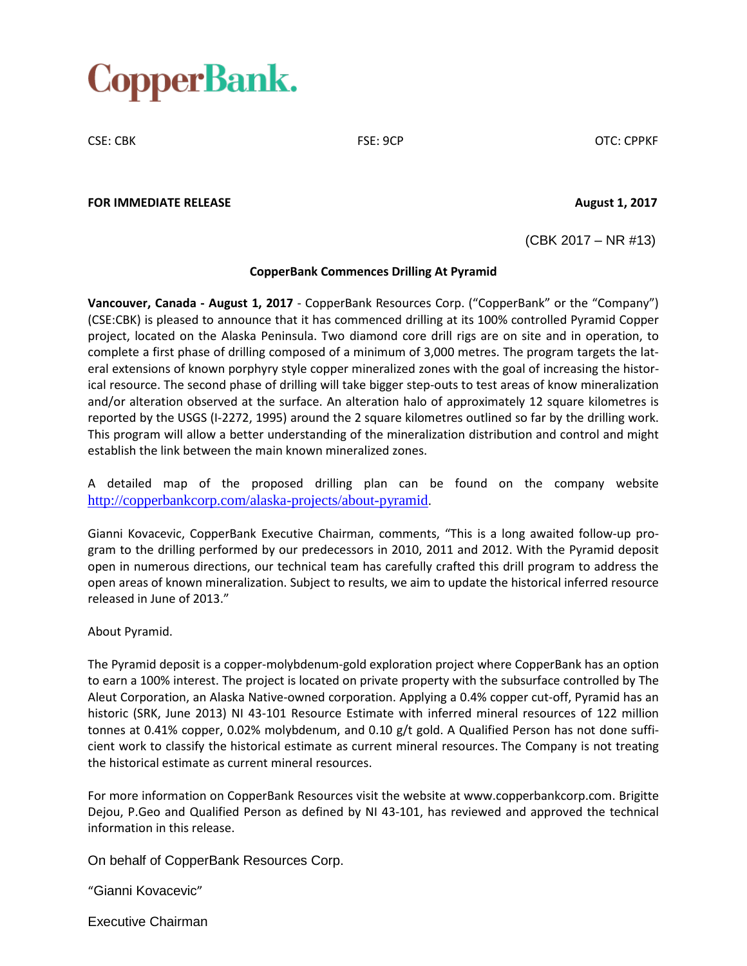# CopperBank.

CSE: CBK FSE: 9CP OTC: CPPKF

### **FOR IMMEDIATE RELEASE August 1, 2017**

(CBK 2017 – NR #13)

## **CopperBank Commences Drilling At Pyramid**

**Vancouver, Canada - August 1, 2017** - CopperBank Resources Corp. ("CopperBank" or the "Company") (CSE:CBK) is pleased to announce that it has commenced drilling at its 100% controlled Pyramid Copper project, located on the Alaska Peninsula. Two diamond core drill rigs are on site and in operation, to complete a first phase of drilling composed of a minimum of 3,000 metres. The program targets the lateral extensions of known porphyry style copper mineralized zones with the goal of increasing the historical resource. The second phase of drilling will take bigger step-outs to test areas of know mineralization and/or alteration observed at the surface. An alteration halo of approximately 12 square kilometres is reported by the USGS (I-2272, 1995) around the 2 square kilometres outlined so far by the drilling work. This program will allow a better understanding of the mineralization distribution and control and might establish the link between the main known mineralized zones.

A detailed map of the proposed drilling plan can be found on the company website http://copperbankcorp.com/alaska-projects/about-pyramid.

Gianni Kovacevic, CopperBank Executive Chairman, comments, "This is a long awaited follow-up program to the drilling performed by our predecessors in 2010, 2011 and 2012. With the Pyramid deposit open in numerous directions, our technical team has carefully crafted this drill program to address the open areas of known mineralization. Subject to results, we aim to update the historical inferred resource released in June of 2013."

### About Pyramid.

The Pyramid deposit is a copper-molybdenum-gold exploration project where CopperBank has an option to earn a 100% interest. The project is located on private property with the subsurface controlled by The Aleut Corporation, an Alaska Native-owned corporation. Applying a 0.4% copper cut-off, Pyramid has an historic (SRK, June 2013) NI 43-101 Resource Estimate with inferred mineral resources of 122 million tonnes at 0.41% copper, 0.02% molybdenum, and 0.10 g/t gold. A Qualified Person has not done sufficient work to classify the historical estimate as current mineral resources. The Company is not treating the historical estimate as current mineral resources.

For more information on CopperBank Resources visit the website at www.copperbankcorp.com. Brigitte Dejou, P.Geo and Qualified Person as defined by NI 43-101, has reviewed and approved the technical information in this release.

On behalf of CopperBank Resources Corp.

"Gianni Kovacevic"

Executive Chairman